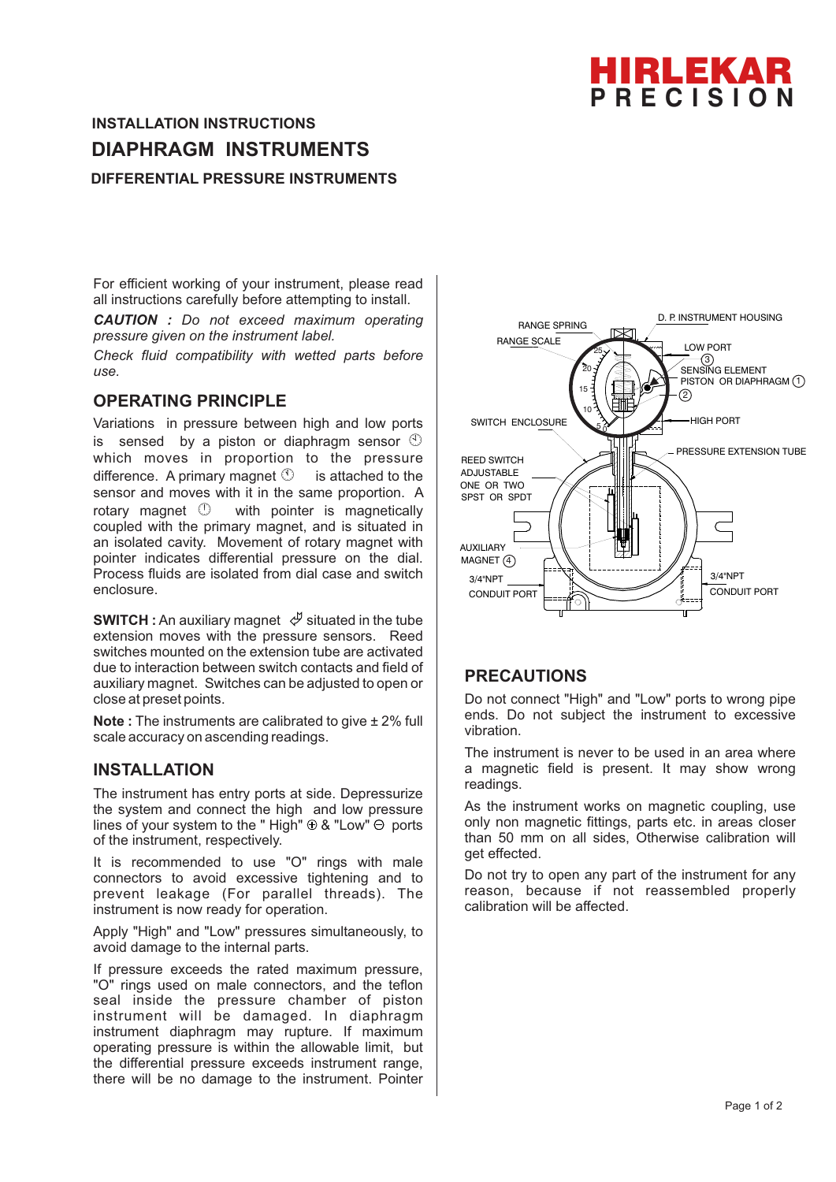

# **DIFFERENTIAL PRESSURE INSTRUMENTS INSTALLATION INSTRUCTIONS DIAPHRAGM INSTRUMENTS**

For efficient working of your instrument, please read all instructions carefully before attempting to install.

*CAUTION : Do not exceed maximum operating pressure given on the instrument label.*

*Check fluid compatibility with wetted parts before use.*

## **OPERATING PRINCIPLE**

Variations in pressure between high and low ports is sensed by a piston or diaphragm sensor  $\circled$ which moves in proportion to the pressure difference. A primary magnet  $\mathbb O$  is attached to the sensor and moves with it in the same proportion. A rotary magnet  $\mathbb O$  with pointer is magnetically coupled with the primary magnet, and is situated in an isolated cavity. Movement of rotary magnet with pointer indicates differential pressure on the dial. Process fluids are isolated from dial case and switch enclosure.

**SWITCH** : An auxiliary magnet  $\psi$  situated in the tube extension moves with the pressure sensors. Reed switches mounted on the extension tube are activated due to interaction between switch contacts and field of auxiliary magnet. Switches can be adjusted to open or close at preset points.

**Note :** The instruments are calibrated to give ± 2% full scale accuracy on ascending readings.

## **INSTALLATION**

The instrument has entry ports at side. Depressurize the system and connect the high and low pressure lines of your system to the " High"  $\oplus$  & "Low"  $\ominus$  ports of the instrument, respectively.

It is recommended to use "O" rings with male connectors to avoid excessive tightening and to prevent leakage (For parallel threads). The instrument is now ready for operation.

Apply "High" and "Low" pressures simultaneously, to avoid damage to the internal parts.

If pressure exceeds the rated maximum pressure, "O" rings used on male connectors, and the teflon seal inside the pressure chamber of piston instrument will be damaged. In diaphragm instrument diaphragm may rupture. If maximum operating pressure is within the allowable limit, but the differential pressure exceeds instrument range, there will be no damage to the instrument. Pointer



## **PRECAUTIONS**

Do not connect "High" and "Low" ports to wrong pipe ends. Do not subject the instrument to excessive vibration.

The instrument is never to be used in an area where a magnetic field is present. It may show wrong readings.

As the instrument works on magnetic coupling, use only non magnetic fittings, parts etc. in areas closer than 50 mm on all sides, Otherwise calibration will get effected.

Do not try to open any part of the instrument for any reason, because if not reassembled properly calibration will be affected.